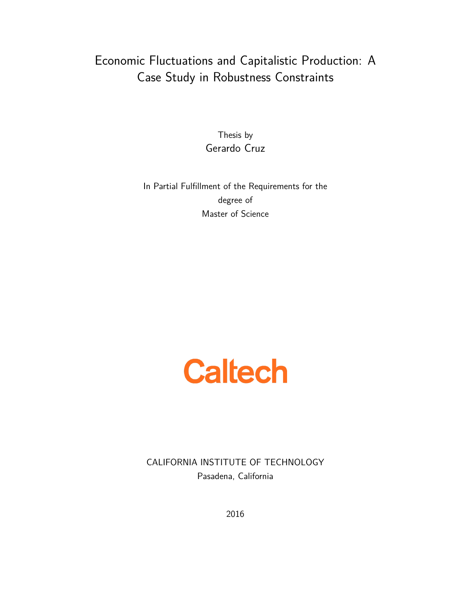# Economic Fluctuations and Capitalistic Production: A Case Study in Robustness Constraints

Thesis by Gerardo Cruz

In Partial Fulfillment of the Requirements for the degree of Master of Science

# **Caltech**

CALIFORNIA INSTITUTE OF TECHNOLOGY Pasadena, California

2016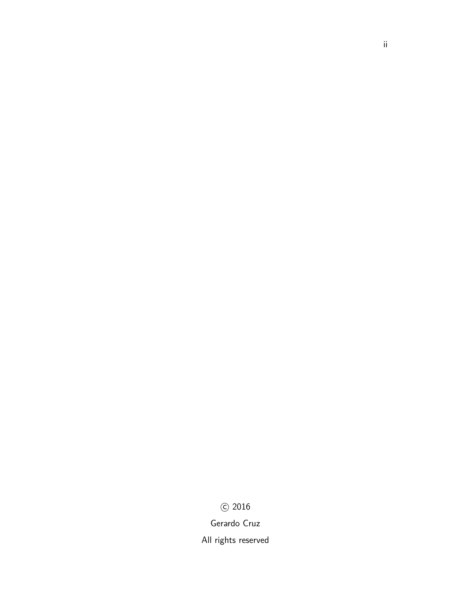# c 2016

Gerardo Cruz

All rights reserved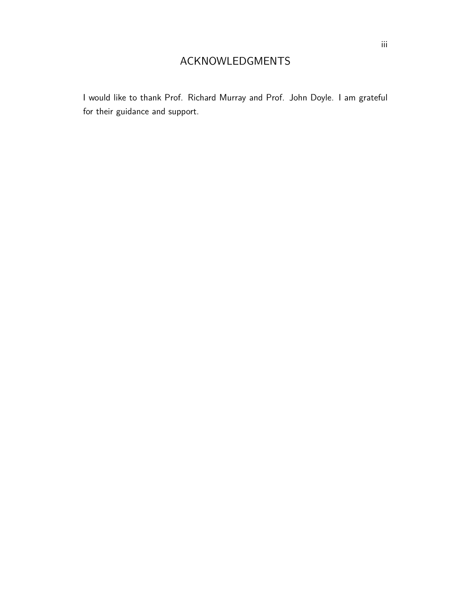I would like to thank Prof. Richard Murray and Prof. John Doyle. I am grateful for their guidance and support.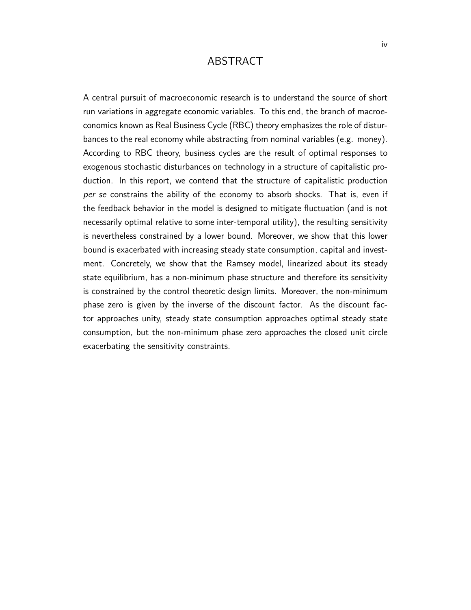## ABSTRACT

A central pursuit of macroeconomic research is to understand the source of short run variations in aggregate economic variables. To this end, the branch of macroeconomics known as Real Business Cycle (RBC) theory emphasizes the role of disturbances to the real economy while abstracting from nominal variables (e.g. money). According to RBC theory, business cycles are the result of optimal responses to exogenous stochastic disturbances on technology in a structure of capitalistic production. In this report, we contend that the structure of capitalistic production per se constrains the ability of the economy to absorb shocks. That is, even if the feedback behavior in the model is designed to mitigate fluctuation (and is not necessarily optimal relative to some inter-temporal utility), the resulting sensitivity is nevertheless constrained by a lower bound. Moreover, we show that this lower bound is exacerbated with increasing steady state consumption, capital and investment. Concretely, we show that the Ramsey model, linearized about its steady state equilibrium, has a non-minimum phase structure and therefore its sensitivity is constrained by the control theoretic design limits. Moreover, the non-minimum phase zero is given by the inverse of the discount factor. As the discount factor approaches unity, steady state consumption approaches optimal steady state consumption, but the non-minimum phase zero approaches the closed unit circle exacerbating the sensitivity constraints.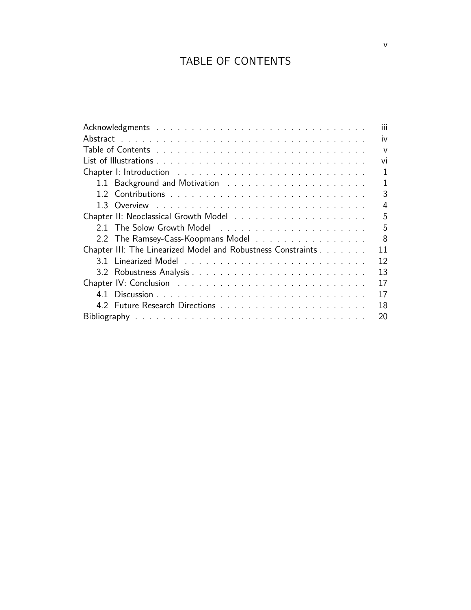# TABLE OF CONTENTS

| $\mathbf{III}$                                                     |  |  |
|--------------------------------------------------------------------|--|--|
| iv                                                                 |  |  |
| $\mathbf{V}$                                                       |  |  |
|                                                                    |  |  |
| 1                                                                  |  |  |
| 1                                                                  |  |  |
| 3                                                                  |  |  |
| 4                                                                  |  |  |
| 5                                                                  |  |  |
| 5                                                                  |  |  |
| 8<br>2.2 The Ramsey-Cass-Koopmans Model                            |  |  |
| Chapter III: The Linearized Model and Robustness Constraints<br>11 |  |  |
| $12 \overline{ }$                                                  |  |  |
| 13                                                                 |  |  |
| 17                                                                 |  |  |
| 17                                                                 |  |  |
| 18                                                                 |  |  |
|                                                                    |  |  |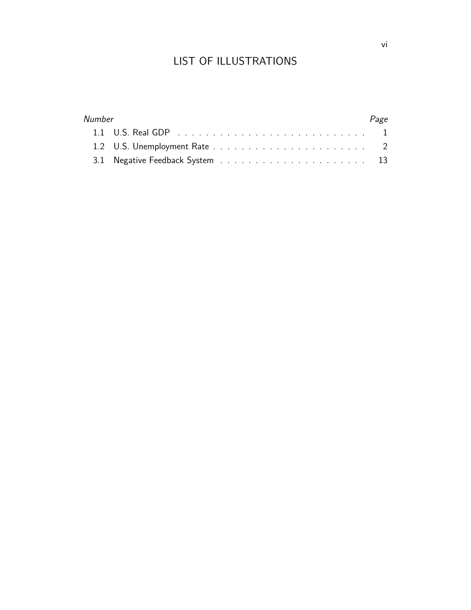# LIST OF ILLUSTRATIONS

| <b>Number</b> | Page |
|---------------|------|
|               |      |
|               |      |
|               |      |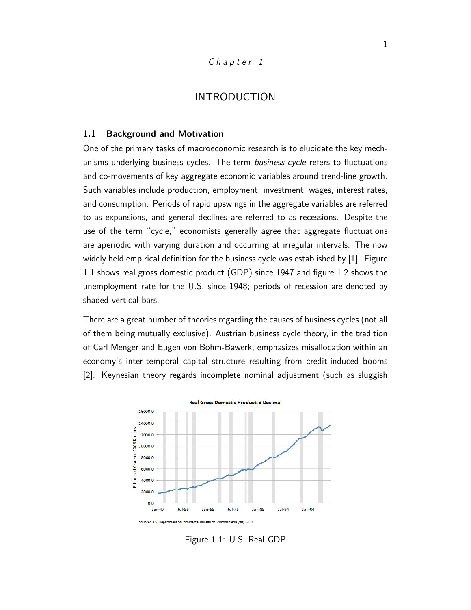#### $Chapter1$

## INTRODUCTION

#### **1.1 Background and Motivation**

One of the primary tasks of macroeconomic research is to elucidate the key mechanisms underlying business cycles. The term business cycle refers to fluctuations and co-movements of key aggregate economic variables around trend-line growth. Such variables include production, employment, investment, wages, interest rates, and consumption. Periods of rapid upswings in the aggregate variables are referred to as expansions, and general declines are referred to as recessions. Despite the use of the term "cycle," economists generally agree that aggregate fluctuations are aperiodic with varying duration and occurring at irregular intervals. The now widely held empirical definition for the business cycle was established by [1]. Figure 1.1 shows real gross domestic product (GDP) since 1947 and figure 1.2 shows the unemployment rate for the U.S. since 1948; periods of recession are denoted by shaded vertical bars.

There are a great number of theories regarding the causes of business cycles (not all of them being mutually exclusive). Austrian business cycle theory, in the tradition of Carl Menger and Eugen von Bohm-Bawerk, emphasizes misallocation within an economy's inter-temporal capital structure resulting from credit-induced booms [2]. Keynesian theory regards incomplete nominal adjustment (such as sluggish



Figure 1.1: U.S. Real GDP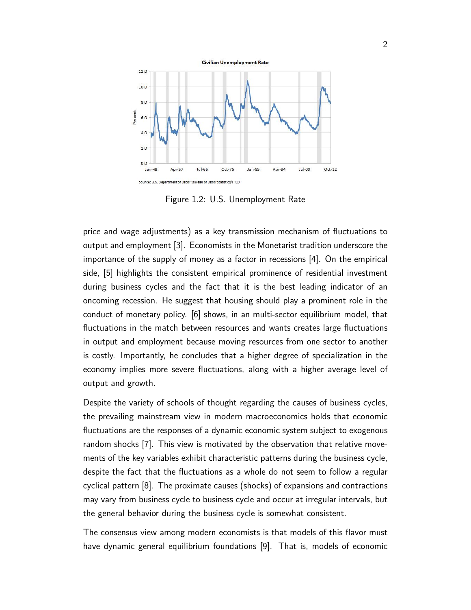

Figure 1.2: U.S. Unemployment Rate

price and wage adjustments) as a key transmission mechanism of fluctuations to output and employment [3]. Economists in the Monetarist tradition underscore the importance of the supply of money as a factor in recessions [4]. On the empirical side, [5] highlights the consistent empirical prominence of residential investment during business cycles and the fact that it is the best leading indicator of an oncoming recession. He suggest that housing should play a prominent role in the conduct of monetary policy. [6] shows, in an multi-sector equilibrium model, that fluctuations in the match between resources and wants creates large fluctuations in output and employment because moving resources from one sector to another is costly. Importantly, he concludes that a higher degree of specialization in the economy implies more severe fluctuations, along with a higher average level of output and growth.

Despite the variety of schools of thought regarding the causes of business cycles, the prevailing mainstream view in modern macroeconomics holds that economic fluctuations are the responses of a dynamic economic system subject to exogenous random shocks [7]. This view is motivated by the observation that relative movements of the key variables exhibit characteristic patterns during the business cycle, despite the fact that the fluctuations as a whole do not seem to follow a regular cyclical pattern [8]. The proximate causes (shocks) of expansions and contractions may vary from business cycle to business cycle and occur at irregular intervals, but the general behavior during the business cycle is somewhat consistent.

The consensus view among modern economists is that models of this flavor must have dynamic general equilibrium foundations [9]. That is, models of economic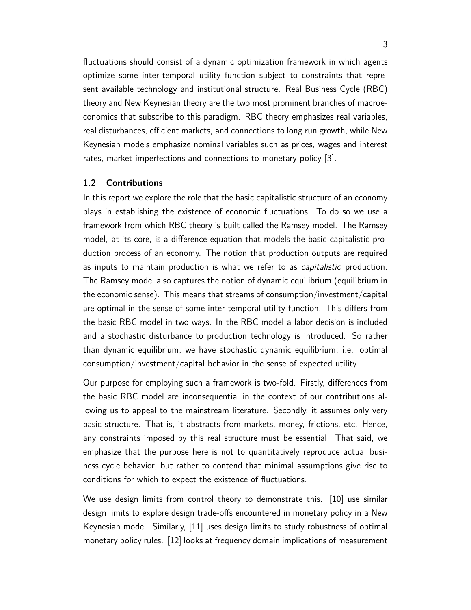fluctuations should consist of a dynamic optimization framework in which agents optimize some inter-temporal utility function subject to constraints that represent available technology and institutional structure. Real Business Cycle (RBC) theory and New Keynesian theory are the two most prominent branches of macroeconomics that subscribe to this paradigm. RBC theory emphasizes real variables, real disturbances, efficient markets, and connections to long run growth, while New Keynesian models emphasize nominal variables such as prices, wages and interest rates, market imperfections and connections to monetary policy [3].

#### **1.2 Contributions**

In this report we explore the role that the basic capitalistic structure of an economy plays in establishing the existence of economic fluctuations. To do so we use a framework from which RBC theory is built called the Ramsey model. The Ramsey model, at its core, is a difference equation that models the basic capitalistic production process of an economy. The notion that production outputs are required as inputs to maintain production is what we refer to as *capitalistic* production. The Ramsey model also captures the notion of dynamic equilibrium (equilibrium in the economic sense). This means that streams of consumption/investment/capital are optimal in the sense of some inter-temporal utility function. This differs from the basic RBC model in two ways. In the RBC model a labor decision is included and a stochastic disturbance to production technology is introduced. So rather than dynamic equilibrium, we have stochastic dynamic equilibrium; i.e. optimal consumption/investment/capital behavior in the sense of expected utility.

Our purpose for employing such a framework is two-fold. Firstly, differences from the basic RBC model are inconsequential in the context of our contributions allowing us to appeal to the mainstream literature. Secondly, it assumes only very basic structure. That is, it abstracts from markets, money, frictions, etc. Hence, any constraints imposed by this real structure must be essential. That said, we emphasize that the purpose here is not to quantitatively reproduce actual business cycle behavior, but rather to contend that minimal assumptions give rise to conditions for which to expect the existence of fluctuations.

We use design limits from control theory to demonstrate this. [10] use similar design limits to explore design trade-offs encountered in monetary policy in a New Keynesian model. Similarly, [11] uses design limits to study robustness of optimal monetary policy rules. [12] looks at frequency domain implications of measurement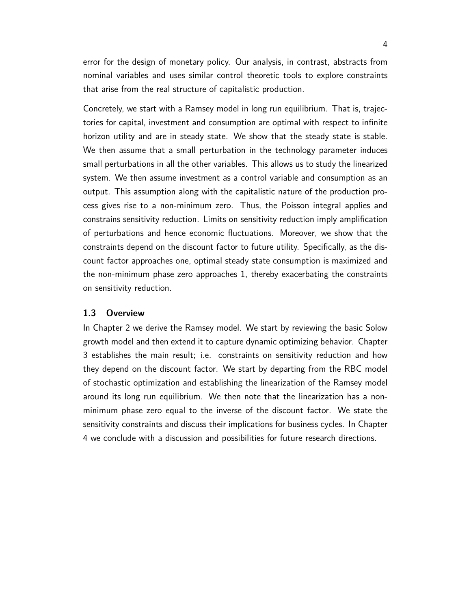error for the design of monetary policy. Our analysis, in contrast, abstracts from nominal variables and uses similar control theoretic tools to explore constraints that arise from the real structure of capitalistic production.

Concretely, we start with a Ramsey model in long run equilibrium. That is, trajectories for capital, investment and consumption are optimal with respect to infinite horizon utility and are in steady state. We show that the steady state is stable. We then assume that a small perturbation in the technology parameter induces small perturbations in all the other variables. This allows us to study the linearized system. We then assume investment as a control variable and consumption as an output. This assumption along with the capitalistic nature of the production process gives rise to a non-minimum zero. Thus, the Poisson integral applies and constrains sensitivity reduction. Limits on sensitivity reduction imply amplification of perturbations and hence economic fluctuations. Moreover, we show that the constraints depend on the discount factor to future utility. Specifically, as the discount factor approaches one, optimal steady state consumption is maximized and the non-minimum phase zero approaches 1, thereby exacerbating the constraints on sensitivity reduction.

#### **1.3 Overview**

In Chapter 2 we derive the Ramsey model. We start by reviewing the basic Solow growth model and then extend it to capture dynamic optimizing behavior. Chapter 3 establishes the main result; i.e. constraints on sensitivity reduction and how they depend on the discount factor. We start by departing from the RBC model of stochastic optimization and establishing the linearization of the Ramsey model around its long run equilibrium. We then note that the linearization has a nonminimum phase zero equal to the inverse of the discount factor. We state the sensitivity constraints and discuss their implications for business cycles. In Chapter 4 we conclude with a discussion and possibilities for future research directions.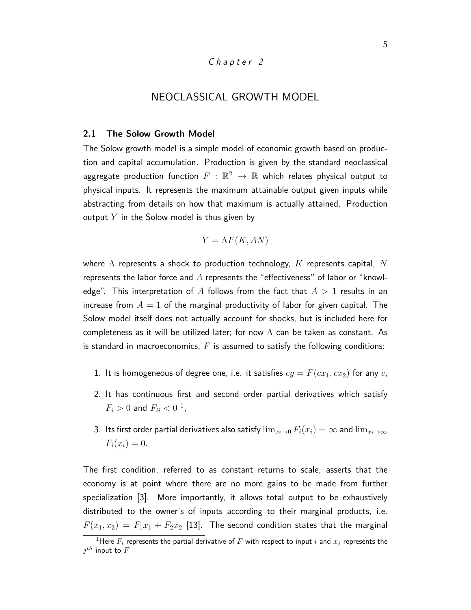#### Chapter 2

# NEOCLASSICAL GROWTH MODEL

#### **2.1 The Solow Growth Model**

The Solow growth model is a simple model of economic growth based on production and capital accumulation. Production is given by the standard neoclassical aggregate production function  $F\,:\,\mathbb{R}^2\,\rightarrow\,\mathbb{R}$  which relates physical output to physical inputs. It represents the maximum attainable output given inputs while abstracting from details on how that maximum is actually attained. Production output *Y* in the Solow model is thus given by

$$
Y = \Lambda F(K, AN)
$$

where Λ represents a shock to production technology, *K* represents capital, *N* represents the labor force and *A* represents the "effectiveness" of labor or "knowledge". This interpretation of *A* follows from the fact that *A >* 1 results in an increase from  $A = 1$  of the marginal productivity of labor for given capital. The Solow model itself does not actually account for shocks, but is included here for completeness as it will be utilized later; for now  $\Lambda$  can be taken as constant. As is standard in macroeconomics, *F* is assumed to satisfy the following conditions:

- 1. It is homogeneous of degree one, i.e. it satisfies  $cy = F(cx_1, cx_2)$  for any *c*,
- 2. It has continuous first and second order partial derivatives which satisfy  $F_i > 0$  and  $F_{ii} < 0$ <sup>1</sup>,
- 3. Its first order partial derivatives also satisfy  $\lim_{x_i\to 0} F_i(x_i) = \infty$  and  $\lim_{x_i\to\infty}$  $F_i(x_i) = 0.$

The first condition, referred to as constant returns to scale, asserts that the economy is at point where there are no more gains to be made from further specialization [3]. More importantly, it allows total output to be exhaustively distributed to the owner's of inputs according to their marginal products, i.e.  $F(x_1, x_2) = F_1x_1 + F_2x_2$  [13]. The second condition states that the marginal

<sup>&</sup>lt;sup>1</sup>Here  $F_i$  represents the partial derivative of  $F$  with respect to input  $i$  and  $x_j$  represents the  $j^{th}$  input to  $F$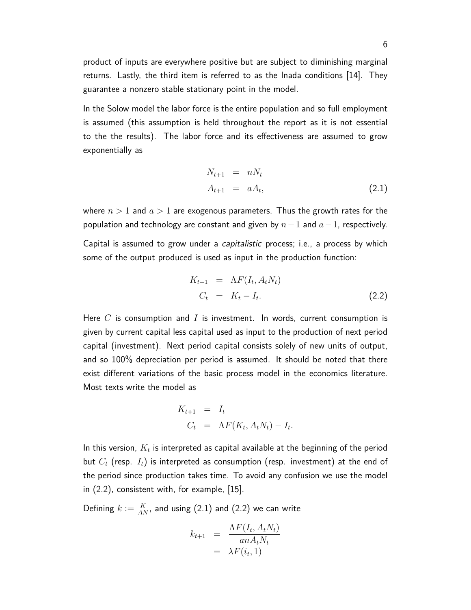product of inputs are everywhere positive but are subject to diminishing marginal returns. Lastly, the third item is referred to as the Inada conditions [14]. They guarantee a nonzero stable stationary point in the model.

In the Solow model the labor force is the entire population and so full employment is assumed (this assumption is held throughout the report as it is not essential to the the results). The labor force and its effectiveness are assumed to grow exponentially as

$$
N_{t+1} = nN_t
$$
  
\n
$$
A_{t+1} = aA_t,
$$
\n(2.1)

where  $n > 1$  and  $a > 1$  are exogenous parameters. Thus the growth rates for the population and technology are constant and given by *n*−1 and *a*−1, respectively. Capital is assumed to grow under a *capitalistic* process; i.e., a process by which some of the output produced is used as input in the production function:

$$
K_{t+1} = \Lambda F(I_t, A_t N_t)
$$
  
\n
$$
C_t = K_t - I_t.
$$
\n(2.2)

Here *C* is consumption and *I* is investment. In words, current consumption is given by current capital less capital used as input to the production of next period capital (investment). Next period capital consists solely of new units of output, and so 100% depreciation per period is assumed. It should be noted that there exist different variations of the basic process model in the economics literature. Most texts write the model as

$$
K_{t+1} = I_t
$$
  
\n
$$
C_t = \Lambda F(K_t, A_t N_t) - I_t.
$$

In this version,  $K_t$  is interpreted as capital available at the beginning of the period but *C<sup>t</sup>* (resp. *It*) is interpreted as consumption (resp. investment) at the end of the period since production takes time. To avoid any confusion we use the model in (2.2), consistent with, for example, [15].

Defining  $k := \frac{K}{AN}$ , and using  $(2.1)$  and  $(2.2)$  we can write

$$
k_{t+1} = \frac{\Lambda F(I_t, A_t N_t)}{an A_t N_t}
$$
  
=  $\lambda F(i_t, 1)$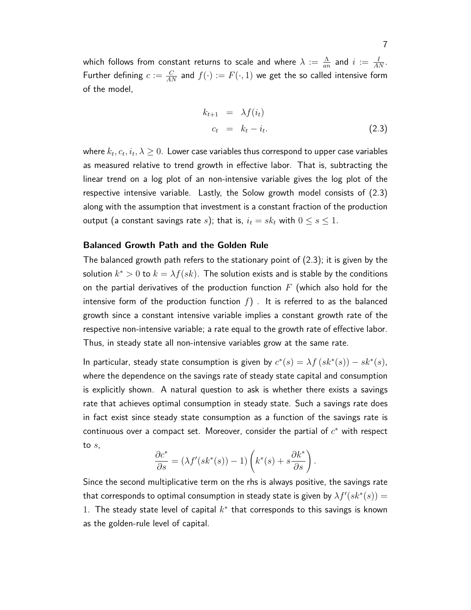which follows from constant returns to scale and where  $\lambda := \frac{\Lambda}{an}$  and  $i := \frac{I}{AN}$ . Further defining  $c := \frac{C}{AN}$  and  $f(\cdot) := F(\cdot, 1)$  we get the so called intensive form of the model,

$$
k_{t+1} = \lambda f(i_t)
$$
  
\n
$$
c_t = k_t - i_t.
$$
\n(2.3)

where  $k_t, c_t, i_t, \lambda \geq 0.$  Lower case variables thus correspond to upper case variables as measured relative to trend growth in effective labor. That is, subtracting the linear trend on a log plot of an non-intensive variable gives the log plot of the respective intensive variable. Lastly, the Solow growth model consists of (2.3) along with the assumption that investment is a constant fraction of the production output (a constant savings rate *s*); that is,  $i_t = sk_t$  with  $0 \le s \le 1$ .

#### **Balanced Growth Path and the Golden Rule**

The balanced growth path refers to the stationary point of (2.3); it is given by the solution  $k^* > 0$  to  $k = \lambda f(sk)$ . The solution exists and is stable by the conditions on the partial derivatives of the production function *F* (which also hold for the intensive form of the production function  $f$ ). It is referred to as the balanced growth since a constant intensive variable implies a constant growth rate of the respective non-intensive variable; a rate equal to the growth rate of effective labor. Thus, in steady state all non-intensive variables grow at the same rate.

In particular, steady state consumption is given by  $c^*(s) = \lambda f(s k^*(s)) - s k^*(s)$ , where the dependence on the savings rate of steady state capital and consumption is explicitly shown. A natural question to ask is whether there exists a savings rate that achieves optimal consumption in steady state. Such a savings rate does in fact exist since steady state consumption as a function of the savings rate is  $\epsilon$  continuous over a compact set. Moreover, consider the partial of  $c^*$  with respect to *s*,

$$
\frac{\partial c^*}{\partial s} = (\lambda f'(sk^*(s)) - 1) \left( k^*(s) + s \frac{\partial k^*}{\partial s} \right)
$$

*.*

Since the second multiplicative term on the rhs is always positive, the savings rate that corresponds to optimal consumption in steady state is given by  $\lambda f'(sk^*(s))=0$ 1. The steady state level of capital  $k^*$  that corresponds to this savings is known as the golden-rule level of capital.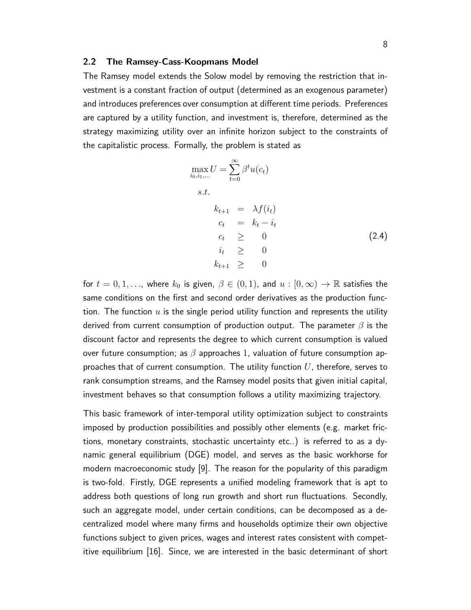#### **2.2 The Ramsey-Cass-Koopmans Model**

The Ramsey model extends the Solow model by removing the restriction that investment is a constant fraction of output (determined as an exogenous parameter) and introduces preferences over consumption at different time periods. Preferences are captured by a utility function, and investment is, therefore, determined as the strategy maximizing utility over an infinite horizon subject to the constraints of the capitalistic process. Formally, the problem is stated as

$$
\max_{i_0, i_1, \dots} U = \sum_{t=0}^{\infty} \beta^t u(c_t)
$$
  
s.t.  

$$
k_{t+1} = \lambda f(i_t)
$$

$$
c_t = k_t - i_t
$$

$$
c_t \geq 0
$$

$$
i_t \geq 0
$$

$$
k_{t+1} \geq 0
$$

$$
(2.4)
$$

for  $t = 0, 1, \ldots$ , where  $k_0$  is given,  $\beta \in (0, 1)$ , and  $u : [0, \infty) \to \mathbb{R}$  satisfies the same conditions on the first and second order derivatives as the production function. The function  $u$  is the single period utility function and represents the utility derived from current consumption of production output. The parameter *β* is the discount factor and represents the degree to which current consumption is valued over future consumption; as *β* approaches 1, valuation of future consumption approaches that of current consumption. The utility function *U*, therefore, serves to rank consumption streams, and the Ramsey model posits that given initial capital, investment behaves so that consumption follows a utility maximizing trajectory.

This basic framework of inter-temporal utility optimization subject to constraints imposed by production possibilities and possibly other elements (e.g. market frictions, monetary constraints, stochastic uncertainty etc..) is referred to as a dynamic general equilibrium (DGE) model, and serves as the basic workhorse for modern macroeconomic study [9]. The reason for the popularity of this paradigm is two-fold. Firstly, DGE represents a unified modeling framework that is apt to address both questions of long run growth and short run fluctuations. Secondly, such an aggregate model, under certain conditions, can be decomposed as a decentralized model where many firms and households optimize their own objective functions subject to given prices, wages and interest rates consistent with competitive equilibrium [16]. Since, we are interested in the basic determinant of short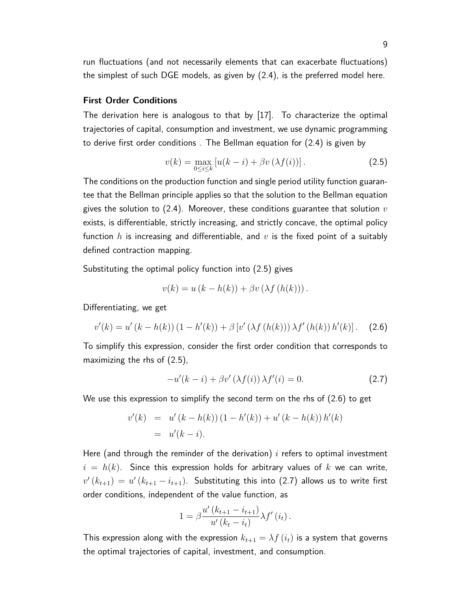run fluctuations (and not necessarily elements that can exacerbate fluctuations) the simplest of such DGE models, as given by (2.4), is the preferred model here.

#### **First Order Conditions**

The derivation here is analogous to that by [17]. To characterize the optimal trajectories of capital, consumption and investment, we use dynamic programming to derive first order conditions . The Bellman equation for (2.4) is given by

$$
v(k) = \max_{0 \le i \le k} \left[ u(k-i) + \beta v \left( \lambda f(i) \right) \right]. \tag{2.5}
$$

The conditions on the production function and single period utility function guarantee that the Bellman principle applies so that the solution to the Bellman equation gives the solution to (2.4). Moreover, these conditions guarantee that solution *v* exists, is differentiable, strictly increasing, and strictly concave, the optimal policy function *h* is increasing and differentiable, and *v* is the fixed point of a suitably defined contraction mapping.

Substituting the optimal policy function into (2.5) gives

$$
v(k) = u(k - h(k)) + \beta v(\lambda f(h(k))).
$$

Differentiating, we get

$$
v'(k) = u'(k - h(k))(1 - h'(k)) + \beta [v'(\lambda f(h(k))) \lambda f'(h(k)) h'(k)]. \quad (2.6)
$$

To simplify this expression, consider the first order condition that corresponds to maximizing the rhs of (2.5),

$$
-u'(k-i) + \beta v'(\lambda f(i)) \lambda f'(i) = 0.
$$
 (2.7)

We use this expression to simplify the second term on the rhs of (2.6) to get

$$
v'(k) = u'(k - h(k))(1 - h'(k)) + u'(k - h(k))h'(k)
$$
  
=  $u'(k - i)$ .

Here (and through the reminder of the derivation)  $i$  refers to optimal investment  $i = h(k)$ . Since this expression holds for arbitrary values of  $k$  we can write,  $v'\left(k_{t+1}\right) = u'\left(k_{t+1} - i_{t+1}\right)$ . Substituting this into (2.7) allows us to write first order conditions, independent of the value function, as

$$
1 = \beta \frac{u'(k_{t+1} - i_{t+1})}{u'(k_t - i_t)} \lambda f'(i_t).
$$

This expression along with the expression  $k_{t+1} = \lambda f(i_t)$  is a system that governs the optimal trajectories of capital, investment, and consumption.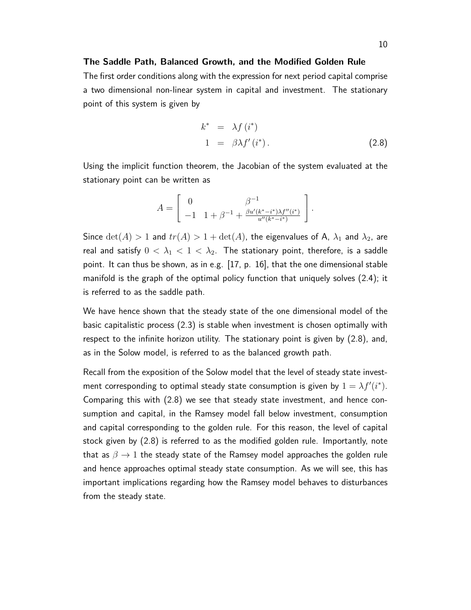#### **The Saddle Path, Balanced Growth, and the Modified Golden Rule**

The first order conditions along with the expression for next period capital comprise a two dimensional non-linear system in capital and investment. The stationary point of this system is given by

$$
k^* = \lambda f(i^*)
$$
  
\n
$$
1 = \beta \lambda f'(i^*).
$$
\n(2.8)

Using the implicit function theorem, the Jacobian of the system evaluated at the stationary point can be written as

$$
A = \begin{bmatrix} 0 & \beta^{-1} \\ -1 & 1 + \beta^{-1} + \frac{\beta u'(k^* - i^*)\lambda f''(i^*)}{u''(k^* - i^*)} \end{bmatrix}.
$$

Since  $\det(A) > 1$  and  $tr(A) > 1 + \det(A)$ , the eigenvalues of A,  $\lambda_1$  and  $\lambda_2$ , are real and satisfy  $0 < \lambda_1 < 1 < \lambda_2$ . The stationary point, therefore, is a saddle point. It can thus be shown, as in e.g. [17, p. 16], that the one dimensional stable manifold is the graph of the optimal policy function that uniquely solves (2.4); it is referred to as the saddle path.

We have hence shown that the steady state of the one dimensional model of the basic capitalistic process (2.3) is stable when investment is chosen optimally with respect to the infinite horizon utility. The stationary point is given by (2.8), and, as in the Solow model, is referred to as the balanced growth path.

Recall from the exposition of the Solow model that the level of steady state investment corresponding to optimal steady state consumption is given by  $1 = \lambda f'(i^*)$ . Comparing this with (2.8) we see that steady state investment, and hence consumption and capital, in the Ramsey model fall below investment, consumption and capital corresponding to the golden rule. For this reason, the level of capital stock given by (2.8) is referred to as the modified golden rule. Importantly, note that as  $\beta \rightarrow 1$  the steady state of the Ramsey model approaches the golden rule and hence approaches optimal steady state consumption. As we will see, this has important implications regarding how the Ramsey model behaves to disturbances from the steady state.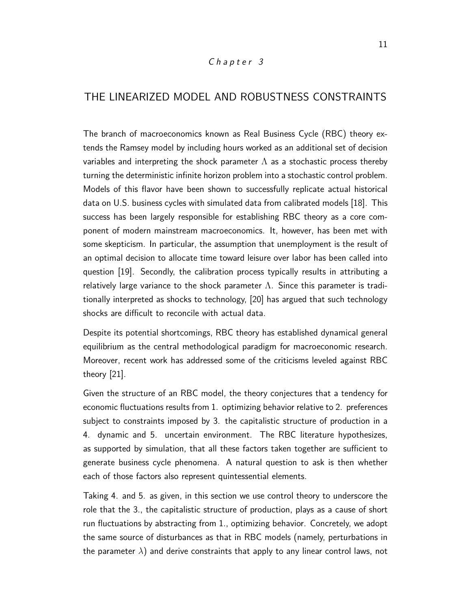#### Chapter 3

# THE LINEARIZED MODEL AND ROBUSTNESS CONSTRAINTS

The branch of macroeconomics known as Real Business Cycle (RBC) theory extends the Ramsey model by including hours worked as an additional set of decision variables and interpreting the shock parameter  $\Lambda$  as a stochastic process thereby turning the deterministic infinite horizon problem into a stochastic control problem. Models of this flavor have been shown to successfully replicate actual historical data on U.S. business cycles with simulated data from calibrated models [18]. This success has been largely responsible for establishing RBC theory as a core component of modern mainstream macroeconomics. It, however, has been met with some skepticism. In particular, the assumption that unemployment is the result of an optimal decision to allocate time toward leisure over labor has been called into question [19]. Secondly, the calibration process typically results in attributing a relatively large variance to the shock parameter  $\Lambda$ . Since this parameter is traditionally interpreted as shocks to technology, [20] has argued that such technology shocks are difficult to reconcile with actual data.

Despite its potential shortcomings, RBC theory has established dynamical general equilibrium as the central methodological paradigm for macroeconomic research. Moreover, recent work has addressed some of the criticisms leveled against RBC theory [21].

Given the structure of an RBC model, the theory conjectures that a tendency for economic fluctuations results from 1. optimizing behavior relative to 2. preferences subject to constraints imposed by 3. the capitalistic structure of production in a 4. dynamic and 5. uncertain environment. The RBC literature hypothesizes, as supported by simulation, that all these factors taken together are sufficient to generate business cycle phenomena. A natural question to ask is then whether each of those factors also represent quintessential elements.

Taking 4. and 5. as given, in this section we use control theory to underscore the role that the 3., the capitalistic structure of production, plays as a cause of short run fluctuations by abstracting from 1., optimizing behavior. Concretely, we adopt the same source of disturbances as that in RBC models (namely, perturbations in the parameter  $\lambda$ ) and derive constraints that apply to any linear control laws, not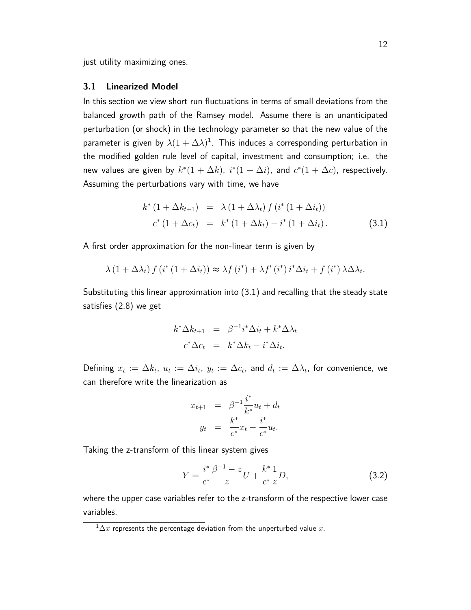just utility maximizing ones.

#### **3.1 Linearized Model**

In this section we view short run fluctuations in terms of small deviations from the balanced growth path of the Ramsey model. Assume there is an unanticipated perturbation (or shock) in the technology parameter so that the new value of the parameter is given by  $\lambda(1+\Delta\lambda)^{1}$ . This induces a corresponding perturbation in the modified golden rule level of capital, investment and consumption; i.e. the new values are given by  $k^*(1 + \Delta k)$ ,  $i^*(1 + \Delta i)$ , and  $c^*(1 + \Delta c)$ , respectively. Assuming the perturbations vary with time, we have

$$
k^* (1 + \Delta k_{t+1}) = \lambda (1 + \Delta \lambda_t) f (i^* (1 + \Delta i_t))
$$
  

$$
c^* (1 + \Delta c_t) = k^* (1 + \Delta k_t) - i^* (1 + \Delta i_t).
$$
 (3.1)

A first order approximation for the non-linear term is given by

$$
\lambda (1 + \Delta \lambda_t) f (i^* (1 + \Delta i_t)) \approx \lambda f (i^*) + \lambda f' (i^*) i^* \Delta i_t + f (i^*) \lambda \Delta \lambda_t.
$$

Substituting this linear approximation into (3.1) and recalling that the steady state satisfies (2.8) we get

$$
k^* \Delta k_{t+1} = \beta^{-1} i^* \Delta i_t + k^* \Delta \lambda_t
$$
  

$$
c^* \Delta c_t = k^* \Delta k_t - i^* \Delta i_t.
$$

Defining  $x_t := \Delta k_t$ ,  $u_t := \Delta i_t$ ,  $y_t := \Delta c_t$ , and  $d_t := \Delta \lambda_t$ , for convenience, we can therefore write the linearization as

$$
x_{t+1} = \beta^{-1} \frac{i^*}{k^*} u_t + d_t
$$
  

$$
y_t = \frac{k^*}{c^*} x_t - \frac{i^*}{c^*} u_t.
$$

Taking the z-transform of this linear system gives

$$
Y = \frac{i^*}{c^*} \frac{\beta^{-1} - z}{z} U + \frac{k^*}{c^*} \frac{1}{z} D, \tag{3.2}
$$

where the upper case variables refer to the z-transform of the respective lower case variables.

 $1/\Delta x$  represents the percentage deviation from the unperturbed value x.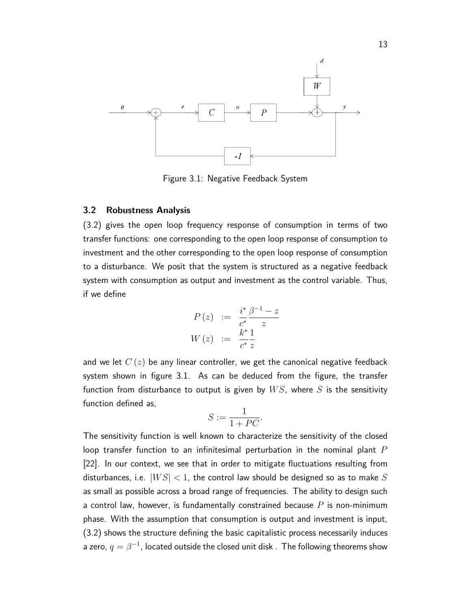

Figure 3.1: Negative Feedback System

#### **3.2 Robustness Analysis**

(3.2) gives the open loop frequency response of consumption in terms of two transfer functions: one corresponding to the open loop response of consumption to investment and the other corresponding to the open loop response of consumption to a disturbance. We posit that the system is structured as a negative feedback system with consumption as output and investment as the control variable. Thus, if we define

$$
P(z) := \frac{i^*}{c^*} \frac{\beta^{-1} - z}{z}
$$
  

$$
W(z) := \frac{k^*}{c^*} \frac{1}{z}
$$

and we let *C* (*z*) be any linear controller, we get the canonical negative feedback system shown in figure 3.1. As can be deduced from the figure, the transfer function from disturbance to output is given by *W S*, where *S* is the sensitivity function defined as,

$$
S := \frac{1}{1+PC}.
$$

The sensitivity function is well known to characterize the sensitivity of the closed loop transfer function to an infinitesimal perturbation in the nominal plant *P* [22]. In our context, we see that in order to mitigate fluctuations resulting from disturbances, i.e. |*W S*| *<* 1, the control law should be designed so as to make *S* as small as possible across a broad range of frequencies. The ability to design such a control law, however, is fundamentally constrained because *P* is non-minimum phase. With the assumption that consumption is output and investment is input, (3.2) shows the structure defining the basic capitalistic process necessarily induces a zero,  $q=\beta^{-1}$ , located outside the closed unit disk . The following theorems show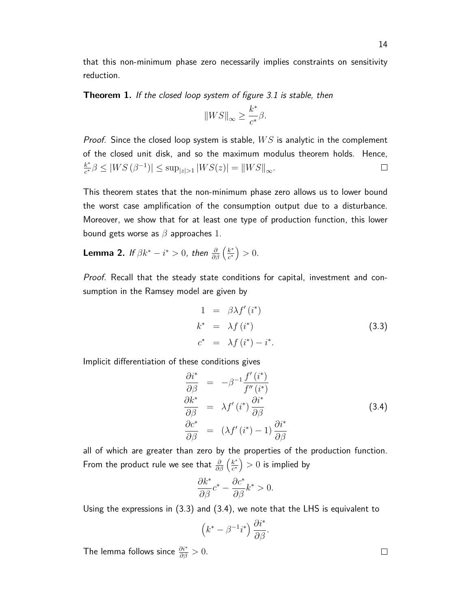that this non-minimum phase zero necessarily implies constraints on sensitivity reduction.

**Theorem 1.** If the closed loop system of figure 3.1 is stable, then

$$
||WS||_{\infty} \ge \frac{k^*}{c^*} \beta.
$$

Proof. Since the closed loop system is stable, *W S* is analytic in the complement of the closed unit disk, and so the maximum modulus theorem holds. Hence, *k* ∗  $\frac{k^*}{c^*} \beta \le |WS(\beta^{-1})| \le \sup_{|z|>1} |WS(z)| = ||WS||_{\infty}.$  $\Box$ 

This theorem states that the non-minimum phase zero allows us to lower bound the worst case amplification of the consumption output due to a disturbance. Moreover, we show that for at least one type of production function, this lower bound gets worse as *β* approaches 1.

Lemma 2. If  $\beta k^{*} - i^{*} > 0$ , then  $\frac{\partial}{\partial \beta} \left( \frac{k^{*}}{c^{*}} \right)$  $\frac{k^*}{c^*}$  > 0.

Proof. Recall that the steady state conditions for capital, investment and consumption in the Ramsey model are given by

$$
1 = \beta \lambda f'(i^*)
$$
  
\n
$$
k^* = \lambda f(i^*)
$$
  
\n
$$
c^* = \lambda f(i^*) - i^*.
$$
\n(3.3)

Implicit differentiation of these conditions gives

$$
\begin{aligned}\n\frac{\partial i^*}{\partial \beta} &= -\beta^{-1} \frac{f'(i^*)}{f''(i^*)} \\
\frac{\partial k^*}{\partial \beta} &= \lambda f'(i^*) \frac{\partial i^*}{\partial \beta} \\
\frac{\partial c^*}{\partial \beta} &= (\lambda f'(i^*) - 1) \frac{\partial i^*}{\partial \beta}\n\end{aligned}
$$
(3.4)

all of which are greater than zero by the properties of the production function. From the product rule we see that  $\frac{\partial}{\partial \beta}\left(\frac{k^*}{c^*}\right)$  $\left(\frac{k^*}{c^*}\right)>0$  is implied by

$$
\frac{\partial k^*}{\partial \beta}c^* - \frac{\partial c^*}{\partial \beta}k^* > 0.
$$

Using the expressions in (3.3) and (3.4), we note that the LHS is equivalent to

$$
(k^* - \beta^{-1}i^*) \frac{\partial i^*}{\partial \beta}.
$$

The lemma follows since  $\frac{\partial i^*}{\partial \beta} > 0$ .

 $\Box$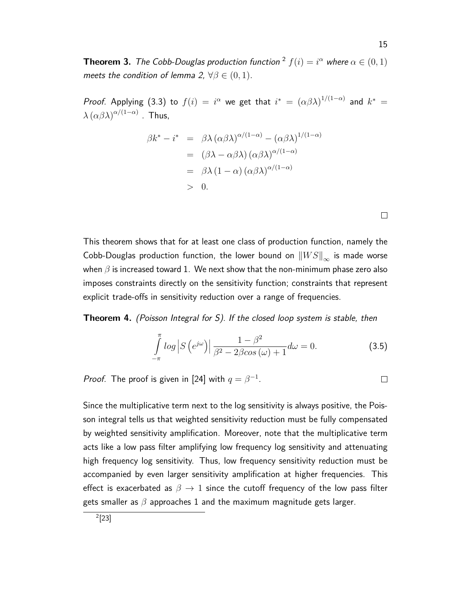**Theorem 3.** The Cobb-Douglas production function <sup>2</sup>  $f(i) = i^{\alpha}$  where  $\alpha \in (0,1)$ meets the condition of lemma 2,  $\forall \beta \in (0,1)$ .

*Proof.* Applying (3.3) to  $f(i) = i^{\alpha}$  we get that  $i^* = (\alpha \beta \lambda)^{1/(1-\alpha)}$  and  $k^* =$  $\lambda \left( \alpha \beta \lambda \right)^{\alpha/(1-\alpha)}$  . Thus,

$$
\beta k^* - i^* = \beta \lambda (\alpha \beta \lambda)^{\alpha/(1-\alpha)} - (\alpha \beta \lambda)^{1/(1-\alpha)}
$$
  
=  $( \beta \lambda - \alpha \beta \lambda) (\alpha \beta \lambda)^{\alpha/(1-\alpha)}$   
=  $\beta \lambda (1-\alpha) (\alpha \beta \lambda)^{\alpha/(1-\alpha)}$   
> 0.

This theorem shows that for at least one class of production function, namely the Cobb-Douglas production function, the lower bound on  $\|WS\|_{\infty}$  is made worse when *β* is increased toward 1. We next show that the non-minimum phase zero also imposes constraints directly on the sensitivity function; constraints that represent explicit trade-offs in sensitivity reduction over a range of frequencies.

**Theorem 4.** (Poisson Integral for S). If the closed loop system is stable, then

$$
\int_{-\pi}^{\pi} \log \left| S\left(e^{j\omega}\right) \right| \frac{1-\beta^2}{\beta^2 - 2\beta \cos\left(\omega\right) + 1} d\omega = 0. \tag{3.5}
$$

*Proof.* The proof is given in [24] with  $q = \beta^{-1}$ .

Since the multiplicative term next to the log sensitivity is always positive, the Poisson integral tells us that weighted sensitivity reduction must be fully compensated by weighted sensitivity amplification. Moreover, note that the multiplicative term acts like a low pass filter amplifying low frequency log sensitivity and attenuating high frequency log sensitivity. Thus, low frequency sensitivity reduction must be accompanied by even larger sensitivity amplification at higher frequencies. This effect is exacerbated as  $\beta \rightarrow 1$  since the cutoff frequency of the low pass filter gets smaller as *β* approaches 1 and the maximum magnitude gets larger.

 $\Box$ 

 $\Box$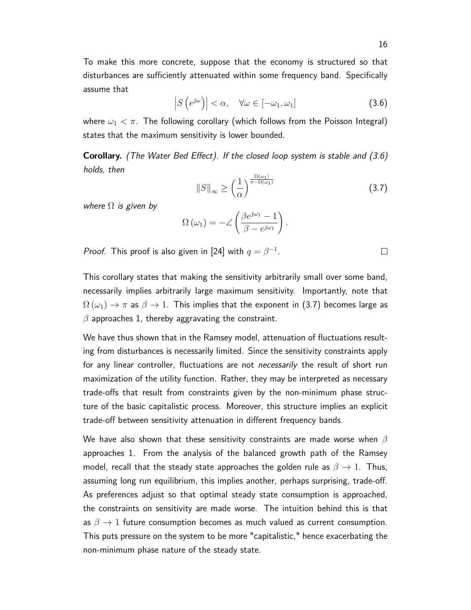To make this more concrete, suppose that the economy is structured so that disturbances are sufficiently attenuated within some frequency band. Specifically assume that

$$
\left|S\left(e^{j\omega}\right)\right|<\alpha,\quad\forall\omega\in\left[-\omega_1,\omega_1\right]
$$
\n(3.6)

where  $\omega_1 < \pi$ . The following corollary (which follows from the Poisson Integral) states that the maximum sensitivity is lower bounded.

**Corollary.** (The Water Bed Effect). If the closed loop system is stable and (3.6) holds, then

$$
\|S\|_{\infty} \ge \left(\frac{1}{\alpha}\right)^{\frac{\Omega(\omega_1)}{\pi - \Omega(\omega_1)}}
$$
(3.7)

where  $\Omega$  is given by

$$
\Omega(\omega_1) = -2\left(\frac{\beta e^{j\omega_1} - 1}{\beta - e^{j\omega_1}}\right).
$$

*Proof.* This proof is also given in [24] with  $q = \beta^{-1}$ .

This corollary states that making the sensitivity arbitrarily small over some band, necessarily implies arbitrarily large maximum sensitivity. Importantly, note that  $\Omega(\omega_1) \to \pi$  as  $\beta \to 1$ . This implies that the exponent in (3.7) becomes large as *β* approaches 1, thereby aggravating the constraint.

We have thus shown that in the Ramsey model, attenuation of fluctuations resulting from disturbances is necessarily limited. Since the sensitivity constraints apply for any linear controller, fluctuations are not *necessarily* the result of short run maximization of the utility function. Rather, they may be interpreted as necessary trade-offs that result from constraints given by the non-minimum phase structure of the basic capitalistic process. Moreover, this structure implies an explicit trade-off between sensitivity attenuation in different frequency bands.

We have also shown that these sensitivity constraints are made worse when *β* approaches 1. From the analysis of the balanced growth path of the Ramsey model, recall that the steady state approaches the golden rule as  $\beta \rightarrow 1$ . Thus, assuming long run equilibrium, this implies another, perhaps surprising, trade-off. As preferences adjust so that optimal steady state consumption is approached, the constraints on sensitivity are made worse. The intuition behind this is that as  $\beta \to 1$  future consumption becomes as much valued as current consumption. This puts pressure on the system to be more "capitalistic," hence exacerbating the non-minimum phase nature of the steady state.

 $\Box$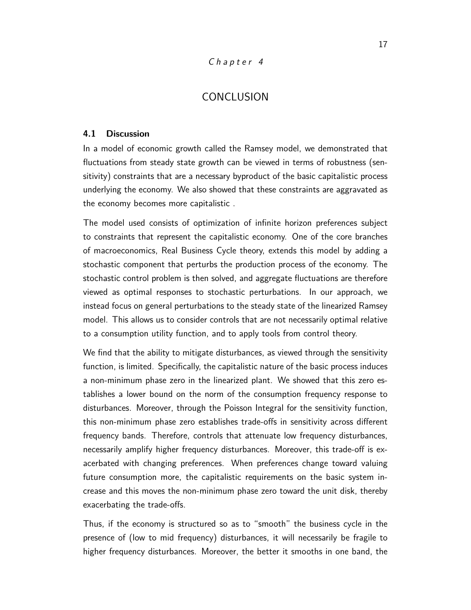### Chapter 4

# **CONCLUSION**

#### **4.1 Discussion**

In a model of economic growth called the Ramsey model, we demonstrated that fluctuations from steady state growth can be viewed in terms of robustness (sensitivity) constraints that are a necessary byproduct of the basic capitalistic process underlying the economy. We also showed that these constraints are aggravated as the economy becomes more capitalistic .

The model used consists of optimization of infinite horizon preferences subject to constraints that represent the capitalistic economy. One of the core branches of macroeconomics, Real Business Cycle theory, extends this model by adding a stochastic component that perturbs the production process of the economy. The stochastic control problem is then solved, and aggregate fluctuations are therefore viewed as optimal responses to stochastic perturbations. In our approach, we instead focus on general perturbations to the steady state of the linearized Ramsey model. This allows us to consider controls that are not necessarily optimal relative to a consumption utility function, and to apply tools from control theory.

We find that the ability to mitigate disturbances, as viewed through the sensitivity function, is limited. Specifically, the capitalistic nature of the basic process induces a non-minimum phase zero in the linearized plant. We showed that this zero establishes a lower bound on the norm of the consumption frequency response to disturbances. Moreover, through the Poisson Integral for the sensitivity function, this non-minimum phase zero establishes trade-offs in sensitivity across different frequency bands. Therefore, controls that attenuate low frequency disturbances, necessarily amplify higher frequency disturbances. Moreover, this trade-off is exacerbated with changing preferences. When preferences change toward valuing future consumption more, the capitalistic requirements on the basic system increase and this moves the non-minimum phase zero toward the unit disk, thereby exacerbating the trade-offs.

Thus, if the economy is structured so as to "smooth" the business cycle in the presence of (low to mid frequency) disturbances, it will necessarily be fragile to higher frequency disturbances. Moreover, the better it smooths in one band, the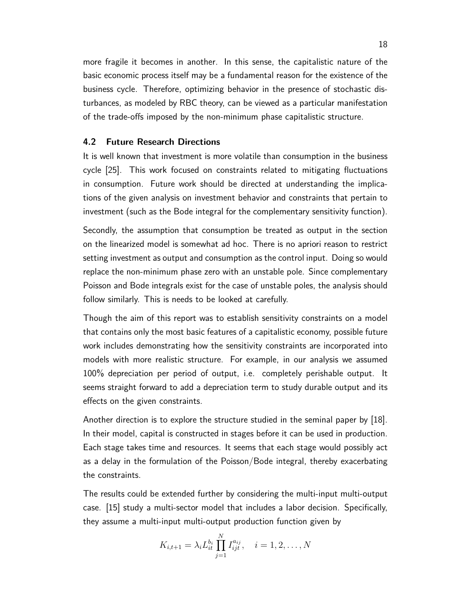more fragile it becomes in another. In this sense, the capitalistic nature of the basic economic process itself may be a fundamental reason for the existence of the business cycle. Therefore, optimizing behavior in the presence of stochastic disturbances, as modeled by RBC theory, can be viewed as a particular manifestation of the trade-offs imposed by the non-minimum phase capitalistic structure.

#### **4.2 Future Research Directions**

It is well known that investment is more volatile than consumption in the business cycle [25]. This work focused on constraints related to mitigating fluctuations in consumption. Future work should be directed at understanding the implications of the given analysis on investment behavior and constraints that pertain to investment (such as the Bode integral for the complementary sensitivity function).

Secondly, the assumption that consumption be treated as output in the section on the linearized model is somewhat ad hoc. There is no apriori reason to restrict setting investment as output and consumption as the control input. Doing so would replace the non-minimum phase zero with an unstable pole. Since complementary Poisson and Bode integrals exist for the case of unstable poles, the analysis should follow similarly. This is needs to be looked at carefully.

Though the aim of this report was to establish sensitivity constraints on a model that contains only the most basic features of a capitalistic economy, possible future work includes demonstrating how the sensitivity constraints are incorporated into models with more realistic structure. For example, in our analysis we assumed 100% depreciation per period of output, i.e. completely perishable output. It seems straight forward to add a depreciation term to study durable output and its effects on the given constraints.

Another direction is to explore the structure studied in the seminal paper by [18]. In their model, capital is constructed in stages before it can be used in production. Each stage takes time and resources. It seems that each stage would possibly act as a delay in the formulation of the Poisson/Bode integral, thereby exacerbating the constraints.

The results could be extended further by considering the multi-input multi-output case. [15] study a multi-sector model that includes a labor decision. Specifically, they assume a multi-input multi-output production function given by

$$
K_{i,t+1} = \lambda_i L_{it}^{b_i} \prod_{j=1}^N I_{ijt}^{a_{ij}}, \quad i = 1, 2, \dots, N
$$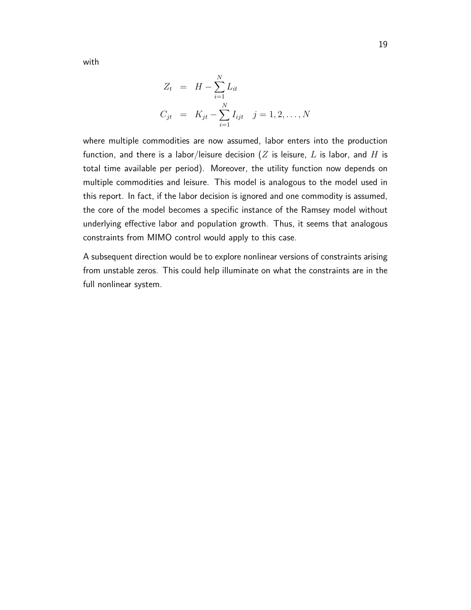with

$$
Z_t = H - \sum_{i=1}^{N} L_{it}
$$
  
\n
$$
C_{jt} = K_{jt} - \sum_{i=1}^{N} I_{ijt} \quad j = 1, 2, ..., N
$$

where multiple commodities are now assumed, labor enters into the production function, and there is a labor/leisure decision (*Z* is leisure, *L* is labor, and *H* is total time available per period). Moreover, the utility function now depends on multiple commodities and leisure. This model is analogous to the model used in this report. In fact, if the labor decision is ignored and one commodity is assumed, the core of the model becomes a specific instance of the Ramsey model without underlying effective labor and population growth. Thus, it seems that analogous constraints from MIMO control would apply to this case.

A subsequent direction would be to explore nonlinear versions of constraints arising from unstable zeros. This could help illuminate on what the constraints are in the full nonlinear system.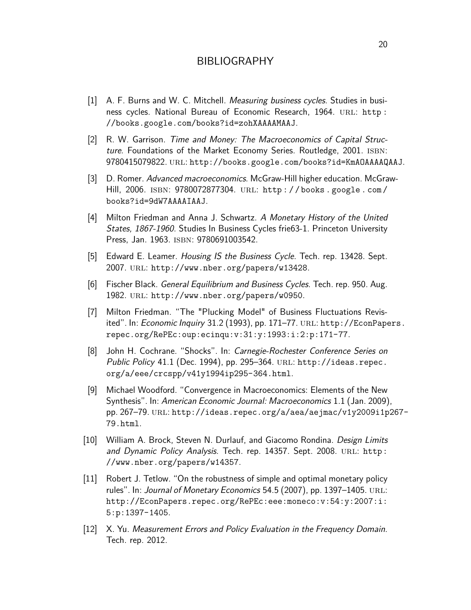## BIBLIOGRAPHY

- [1] A. F. Burns and W. C. Mitchell. *Measuring business cycles*. Studies in business cycles. National Bureau of Economic Research, 1964. URL: http: //books.google.com/books?id=zohXAAAAMAAJ.
- [2] R. W. Garrison. Time and Money: The Macroeconomics of Capital Structure. Foundations of the Market Economy Series. Routledge, 2001. ISBN: 9780415079822. url: http://books.google.com/books?id=KmAOAAAAQAAJ.
- [3] D. Romer. Advanced macroeconomics. McGraw-Hill higher education. McGraw-Hill, 2006. isbn: 9780072877304. url: http : / / books . google . com / books?id=9dW7AAAAIAAJ.
- [4] Milton Friedman and Anna J. Schwartz. A Monetary History of the United States, 1867-1960. Studies In Business Cycles frie63-1. Princeton University Press, Jan. 1963. ISBN: 9780691003542.
- [5] Edward E. Leamer. *Housing IS the Business Cycle*. Tech. rep. 13428. Sept. 2007. url: http://www.nber.org/papers/w13428.
- [6] Fischer Black. General Equilibrium and Business Cycles. Tech. rep. 950. Aug. 1982. url: http://www.nber.org/papers/w0950.
- [7] Milton Friedman. "The "Plucking Model" of Business Fluctuations Revisited". In: Economic Inquiry 31.2 (1993), pp. 171–77. url: http://EconPapers. repec.org/RePEc:oup:ecinqu:v:31:y:1993:i:2:p:171-77.
- [8] John H. Cochrane. "Shocks". In: Carnegie-Rochester Conference Series on Public Policy 41.1 (Dec. 1994), pp. 295-364. URL: http://ideas.repec. org/a/eee/crcspp/v41y1994ip295-364.html.
- [9] Michael Woodford. "Convergence in Macroeconomics: Elements of the New Synthesis". In: American Economic Journal: Macroeconomics 1.1 (Jan. 2009), pp. 267–79. url: http://ideas.repec.org/a/aea/aejmac/v1y2009i1p267- 79.html.
- [10] William A. Brock, Steven N. Durlauf, and Giacomo Rondina. Design Limits and Dynamic Policy Analysis. Tech. rep. 14357. Sept. 2008. URL: http: //www.nber.org/papers/w14357.
- [11] Robert J. Tetlow. "On the robustness of simple and optimal monetary policy rules". In: Journal of Monetary Economics 54.5 (2007), pp. 1397-1405. URL: http://EconPapers.repec.org/RePEc:eee:moneco:v:54:y:2007:i: 5:p:1397-1405.
- [12] X. Yu. Measurement Errors and Policy Evaluation in the Frequency Domain. Tech. rep. 2012.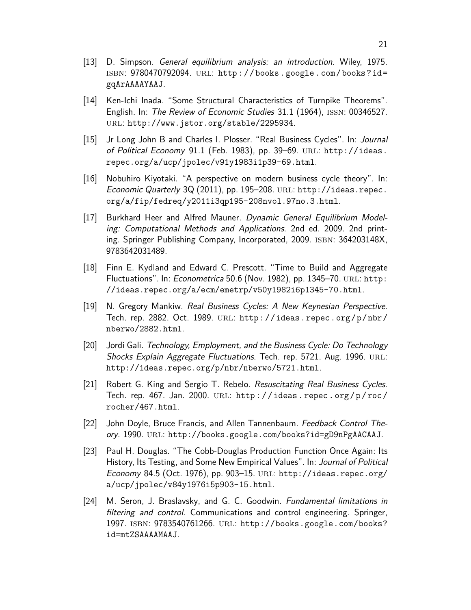- [13] D. Simpson. General equilibrium analysis: an introduction. Wiley, 1975. isbn: 9780470792094. url: http : / / books . google . com / books ? id = gqArAAAAYAAJ.
- [14] Ken-Ichi Inada. "Some Structural Characteristics of Turnpike Theorems". English. In: The Review of Economic Studies 31.1 (1964), issn: 00346527. url: http://www.jstor.org/stable/2295934.
- [15] Jr Long John B and Charles I. Plosser. "Real Business Cycles". In: Journal of Political Economy 91.1 (Feb. 1983), pp. 39-69. URL: http://ideas. repec.org/a/ucp/jpolec/v91y1983i1p39-69.html.
- [16] Nobuhiro Kiyotaki. "A perspective on modern business cycle theory". In: Economic Quarterly 3Q (2011), pp. 195-208. URL: http://ideas.repec. org/a/fip/fedreq/y2011i3qp195-208nvol.97no.3.html.
- [17] Burkhard Heer and Alfred Mauner. Dynamic General Equilibrium Modeling: Computational Methods and Applications. 2nd ed. 2009. 2nd printing. Springer Publishing Company, Incorporated, 2009. ISBN: 364203148X, 9783642031489.
- [18] Finn E. Kydland and Edward C. Prescott. "Time to Build and Aggregate Fluctuations". In: Econometrica 50.6 (Nov. 1982), pp. 1345–70. URL: http: //ideas.repec.org/a/ecm/emetrp/v50y1982i6p1345-70.html.
- [19] N. Gregory Mankiw. Real Business Cycles: A New Keynesian Perspective. Tech. rep. 2882. Oct. 1989. URL: http://ideas.repec.org/p/nbr/ nberwo/2882.html.
- [20] Jordi Gali. Technology, Employment, and the Business Cycle: Do Technology Shocks Explain Aggregate Fluctuations. Tech. rep. 5721. Aug. 1996. URL: http://ideas.repec.org/p/nbr/nberwo/5721.html.
- [21] Robert G. King and Sergio T. Rebelo. Resuscitating Real Business Cycles. Tech. rep. 467. Jan. 2000. url: http : / / ideas . repec . org / p / roc / rocher/467.html.
- [22] John Doyle, Bruce Francis, and Allen Tannenbaum. Feedback Control Theory. 1990. url: http://books.google.com/books?id=gD9nPgAACAAJ.
- [23] Paul H. Douglas. "The Cobb-Douglas Production Function Once Again: Its History, Its Testing, and Some New Empirical Values". In: Journal of Political Economy 84.5 (Oct. 1976), pp. 903–15. url: http://ideas.repec.org/ a/ucp/jpolec/v84y1976i5p903-15.html.
- [24] M. Seron, J. Braslavsky, and G. C. Goodwin. Fundamental limitations in filtering and control. Communications and control engineering. Springer, 1997. isbn: 9783540761266. url: http://books.google.com/books? id=mtZSAAAAMAAJ.